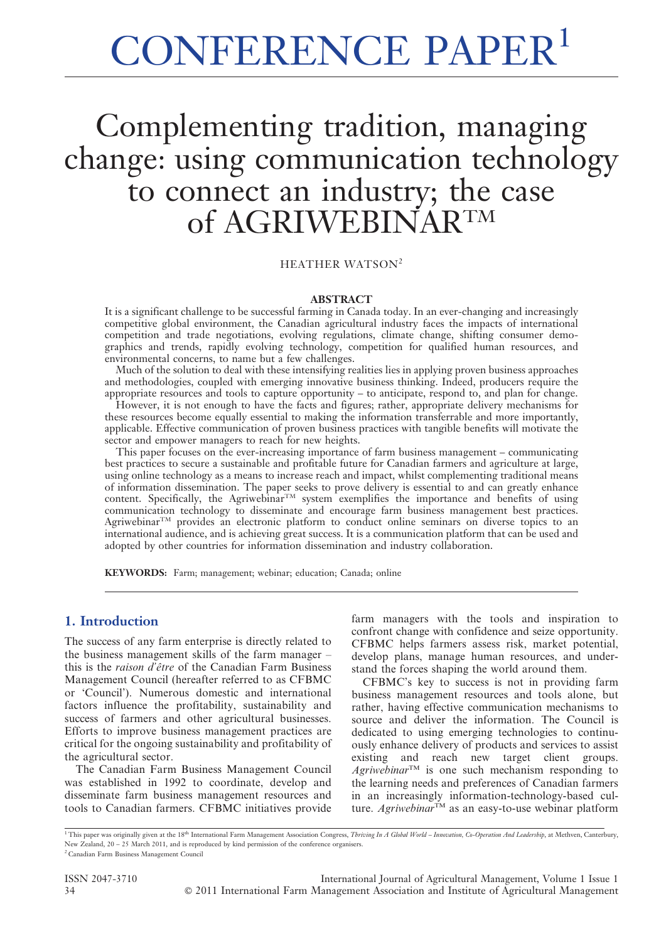# CONFERENCE PAPER<sup>1</sup>

# Complementing tradition, managing change: using communication technology to connect an industry; the case of AGRIWEBINARTM

HEATHER WATSON<sup>2</sup>

#### ABSTRACT

It is a significant challenge to be successful farming in Canada today. In an ever-changing and increasingly competitive global environment, the Canadian agricultural industry faces the impacts of international competition and trade negotiations, evolving regulations, climate change, shifting consumer demographics and trends, rapidly evolving technology, competition for qualified human resources, and environmental concerns, to name but a few challenges.

Much of the solution to deal with these intensifying realities lies in applying proven business approaches and methodologies, coupled with emerging innovative business thinking. Indeed, producers require the appropriate resources and tools to capture opportunity – to anticipate, respond to, and plan for change.

However, it is not enough to have the facts and figures; rather, appropriate delivery mechanisms for these resources become equally essential to making the information transferrable and more importantly, applicable. Effective communication of proven business practices with tangible benefits will motivate the sector and empower managers to reach for new heights.

This paper focuses on the ever-increasing importance of farm business management – communicating best practices to secure a sustainable and profitable future for Canadian farmers and agriculture at large, using online technology as a means to increase reach and impact, whilst complementing traditional means of information dissemination. The paper seeks to prove delivery is essential to and can greatly enhance content. Specifically, the Agriwebinar<sup>TM</sup> system exemplifies the importance and benefits of using communication technology to disseminate and encourage farm business management best practices.  $A$ griwebinar<sup>TM</sup> provides an electronic platform to conduct online seminars on diverse topics to an international audience, and is achieving great success. It is a communication platform that can be used and adopted by other countries for information dissemination and industry collaboration.

KEYWORDS: Farm; management; webinar; education; Canada; online

#### 1. Introduction

The success of any farm enterprise is directly related to the business management skills of the farm manager – this is the *raison d'être* of the Canadian Farm Business Management Council (hereafter referred to as CFBMC or 'Council'). Numerous domestic and international factors influence the profitability, sustainability and success of farmers and other agricultural businesses. Efforts to improve business management practices are critical for the ongoing sustainability and profitability of the agricultural sector.

The Canadian Farm Business Management Council was established in 1992 to coordinate, develop and disseminate farm business management resources and tools to Canadian farmers. CFBMC initiatives provide farm managers with the tools and inspiration to confront change with confidence and seize opportunity. CFBMC helps farmers assess risk, market potential, develop plans, manage human resources, and understand the forces shaping the world around them.

CFBMC's key to success is not in providing farm business management resources and tools alone, but rather, having effective communication mechanisms to source and deliver the information. The Council is dedicated to using emerging technologies to continuously enhance delivery of products and services to assist existing and reach new target client groups.  $A$ griwebinar<sup>TM</sup> is one such mechanism responding to the learning needs and preferences of Canadian farmers in an increasingly information-technology-based culture. Agriwebinar<sup>TM</sup> as an easy-to-use webinar platform

<sup>1</sup> This paper was originally given at the 18<sup>th</sup> International Farm Management Association Congress, Thriving In A Global World – Innovation, Co-Operation And Leadership, at Methven, Canterbury, New Zealand, 20 – 25 March 2011, and is reproduced by kind permission of the conference organisers.

ISSN 2047-3710 International Journal of Agricultural Management, Volume 1 Issue 1 34 ' 2011 International Farm Management Association and Institute of Agricultural Management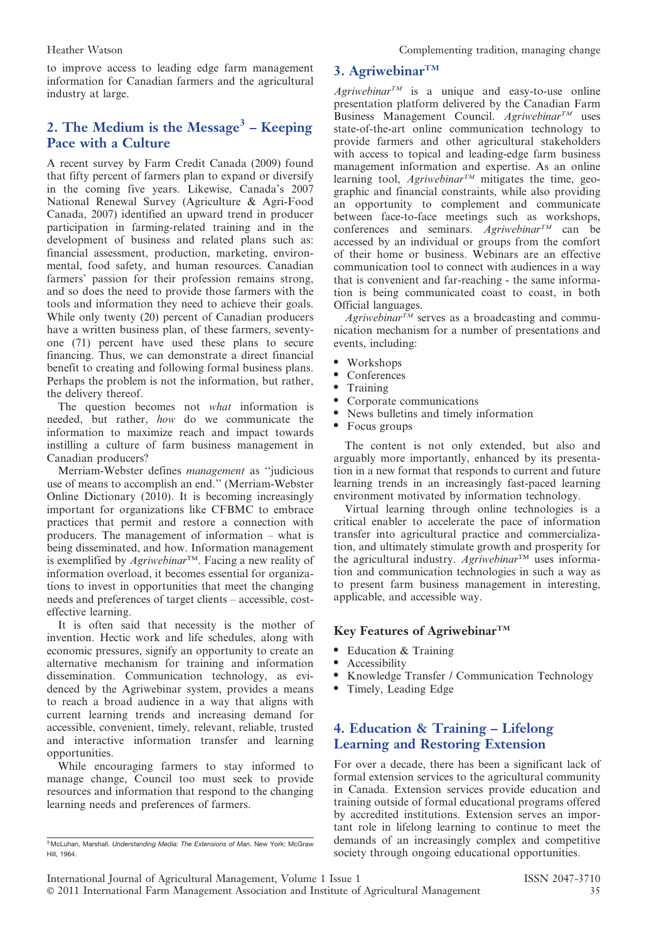to improve access to leading edge farm management information for Canadian farmers and the agricultural industry at large.

# 2. The Medium is the Message<sup>3</sup> – Keeping Pace with a Culture

A recent survey by Farm Credit Canada (2009) found that fifty percent of farmers plan to expand or diversify in the coming five years. Likewise, Canada's 2007 National Renewal Survey (Agriculture & Agri-Food Canada, 2007) identified an upward trend in producer participation in farming-related training and in the development of business and related plans such as: financial assessment, production, marketing, environmental, food safety, and human resources. Canadian farmers' passion for their profession remains strong, and so does the need to provide those farmers with the tools and information they need to achieve their goals. While only twenty (20) percent of Canadian producers have a written business plan, of these farmers, seventyone (71) percent have used these plans to secure financing. Thus, we can demonstrate a direct financial benefit to creating and following formal business plans. Perhaps the problem is not the information, but rather, the delivery thereof.

The question becomes not what information is needed, but rather, how do we communicate the information to maximize reach and impact towards instilling a culture of farm business management in Canadian producers?

Merriam-Webster defines management as ''judicious use of means to accomplish an end.'' (Merriam-Webster Online Dictionary (2010). It is becoming increasingly important for organizations like CFBMC to embrace practices that permit and restore a connection with producers. The management of information – what is being disseminated, and how. Information management is exemplified by  $A$ griwebinar<sup>TM</sup>. Facing a new reality of information overload, it becomes essential for organizations to invest in opportunities that meet the changing needs and preferences of target clients – accessible, costeffective learning.

It is often said that necessity is the mother of invention. Hectic work and life schedules, along with economic pressures, signify an opportunity to create an alternative mechanism for training and information dissemination. Communication technology, as evidenced by the Agriwebinar system, provides a means to reach a broad audience in a way that aligns with current learning trends and increasing demand for accessible, convenient, timely, relevant, reliable, trusted and interactive information transfer and learning opportunities.

While encouraging farmers to stay informed to manage change, Council too must seek to provide resources and information that respond to the changing learning needs and preferences of farmers.

# 3. Agriwebinar $T^M$

 $A$ griwebinar<sup>TM</sup> is a unique and easy-to-use online presentation platform delivered by the Canadian Farm Business Management Council. Agriwebinar<sup>TM</sup> uses state-of-the-art online communication technology to provide farmers and other agricultural stakeholders with access to topical and leading-edge farm business management information and expertise. As an online learning tool,  $A$ griwebinar<sup>TM</sup> mitigates the time, geographic and financial constraints, while also providing an opportunity to complement and communicate between face-to-face meetings such as workshops, conferences and seminars. Agriwebinar<sup>TM</sup> can be accessed by an individual or groups from the comfort of their home or business. Webinars are an effective communication tool to connect with audiences in a way that is convenient and far-reaching - the same information is being communicated coast to coast, in both Official languages.

Agriwebinar<sup>TM</sup> serves as a broadcasting and communication mechanism for a number of presentations and events, including:

- Workshops
- Conferences
- **Training**
- Corporate communications
- News bulletins and timely information
- Focus groups

The content is not only extended, but also and arguably more importantly, enhanced by its presentation in a new format that responds to current and future learning trends in an increasingly fast-paced learning environment motivated by information technology.

Virtual learning through online technologies is a critical enabler to accelerate the pace of information transfer into agricultural practice and commercialization, and ultimately stimulate growth and prosperity for the agricultural industry.  $A$ griwebinar<sup>TM</sup> uses information and communication technologies in such a way as to present farm business management in interesting, applicable, and accessible way.

#### Key Features of Agriwebinar<sup>TM</sup>

- Education & Training
- Accessibility
- N Knowledge Transfer / Communication Technology
- Timely, Leading Edge

# 4. Education & Training – Lifelong Learning and Restoring Extension

For over a decade, there has been a significant lack of formal extension services to the agricultural community in Canada. Extension services provide education and training outside of formal educational programs offered by accredited institutions. Extension serves an important role in lifelong learning to continue to meet the demands of an increasingly complex and competitive society through ongoing educational opportunities.

<sup>&</sup>lt;sup>3</sup> McLuhan, Marshall. Understanding Media: The Extensions of Man. New York: McGraw Hill, 1964.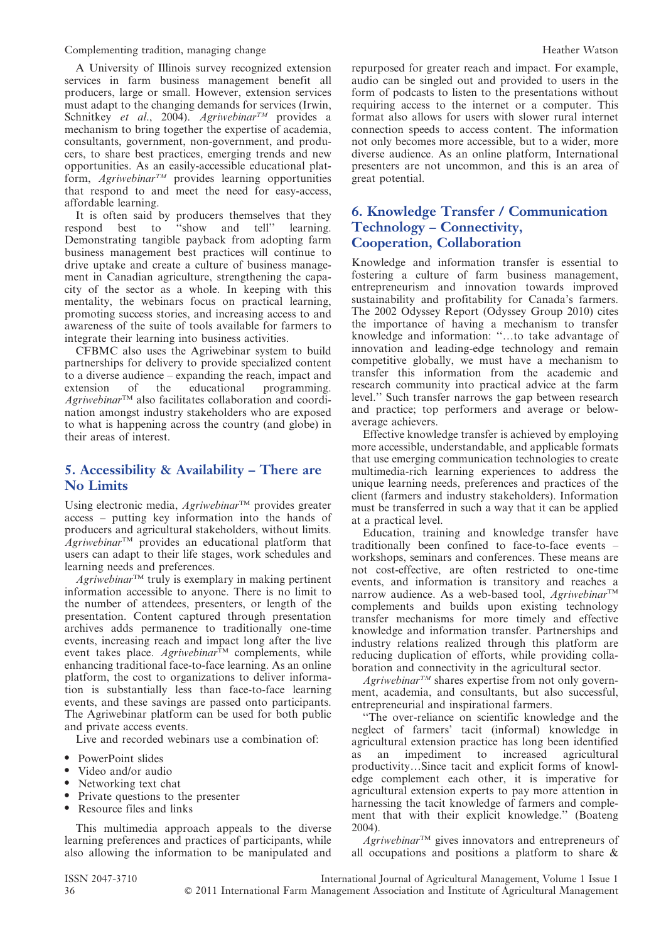Complementing tradition, managing change **Heather Watson** Heather Watson

A University of Illinois survey recognized extension services in farm business management benefit all producers, large or small. However, extension services must adapt to the changing demands for services (Irwin, Schnitkey et al., 2004). Agriwebinar<sup>TM</sup> provides a mechanism to bring together the expertise of academia, consultants, government, non-government, and producers, to share best practices, emerging trends and new opportunities. As an easily-accessible educational platform,  $A$ griwebinar<sup>TM</sup> provides learning opportunities that respond to and meet the need for easy-access, affordable learning.

It is often said by producers themselves that they respond best to ''show and tell'' learning. Demonstrating tangible payback from adopting farm business management best practices will continue to drive uptake and create a culture of business management in Canadian agriculture, strengthening the capacity of the sector as a whole. In keeping with this mentality, the webinars focus on practical learning, promoting success stories, and increasing access to and awareness of the suite of tools available for farmers to integrate their learning into business activities.

CFBMC also uses the Agriwebinar system to build partnerships for delivery to provide specialized content to a diverse audience – expanding the reach, impact and extension of the educational programming. Agriwebinar<sup>™</sup> also facilitates collaboration and coordination amongst industry stakeholders who are exposed to what is happening across the country (and globe) in their areas of interest.

# 5. Accessibility & Availability – There are No Limits

Using electronic media, Agriwebinar™ provides greater access – putting key information into the hands of producers and agricultural stakeholders, without limits.  $A$ griwebinar<sup>TM</sup> provides an educational platform that users can adapt to their life stages, work schedules and learning needs and preferences.

 $A$ griwebinar<sup>TM</sup> truly is exemplary in making pertinent information accessible to anyone. There is no limit to the number of attendees, presenters, or length of the presentation. Content captured through presentation archives adds permanence to traditionally one-time events, increasing reach and impact long after the live event takes place. Agriwebinar<sup>tM</sup> complements, while enhancing traditional face-to-face learning. As an online platform, the cost to organizations to deliver information is substantially less than face-to-face learning events, and these savings are passed onto participants. The Agriwebinar platform can be used for both public and private access events.

Live and recorded webinars use a combination of:

- PowerPoint slides
- Video and/or audio
- Networking text chat
- Private questions to the presenter
- Resource files and links

This multimedia approach appeals to the diverse learning preferences and practices of participants, while also allowing the information to be manipulated and repurposed for greater reach and impact. For example, audio can be singled out and provided to users in the form of podcasts to listen to the presentations without requiring access to the internet or a computer. This format also allows for users with slower rural internet connection speeds to access content. The information not only becomes more accessible, but to a wider, more diverse audience. As an online platform, International presenters are not uncommon, and this is an area of great potential.

# 6. Knowledge Transfer / Communication Technology – Connectivity, Cooperation, Collaboration

Knowledge and information transfer is essential to fostering a culture of farm business management, entrepreneurism and innovation towards improved sustainability and profitability for Canada's farmers. The 2002 Odyssey Report (Odyssey Group 2010) cites the importance of having a mechanism to transfer knowledge and information: ''…to take advantage of innovation and leading-edge technology and remain competitive globally, we must have a mechanism to transfer this information from the academic and research community into practical advice at the farm level.'' Such transfer narrows the gap between research and practice; top performers and average or belowaverage achievers.

Effective knowledge transfer is achieved by employing more accessible, understandable, and applicable formats that use emerging communication technologies to create multimedia-rich learning experiences to address the unique learning needs, preferences and practices of the client (farmers and industry stakeholders). Information must be transferred in such a way that it can be applied at a practical level.

Education, training and knowledge transfer have traditionally been confined to face-to-face events – workshops, seminars and conferences. These means are not cost-effective, are often restricted to one-time events, and information is transitory and reaches a narrow audience. As a web-based tool,  $A$ griwebinar<sup>TM</sup> complements and builds upon existing technology transfer mechanisms for more timely and effective knowledge and information transfer. Partnerships and industry relations realized through this platform are reducing duplication of efforts, while providing collaboration and connectivity in the agricultural sector.

 $A$ griwebinar<sup>TM</sup> shares expertise from not only government, academia, and consultants, but also successful, entrepreneurial and inspirational farmers.

''The over-reliance on scientific knowledge and the neglect of farmers' tacit (informal) knowledge in agricultural extension practice has long been identified as an impediment to increased agricultural productivity…Since tacit and explicit forms of knowledge complement each other, it is imperative for agricultural extension experts to pay more attention in harnessing the tacit knowledge of farmers and complement that with their explicit knowledge.'' (Boateng 2004).

 $A$ griwebinar<sup>TM</sup> gives innovators and entrepreneurs of all occupations and positions a platform to share &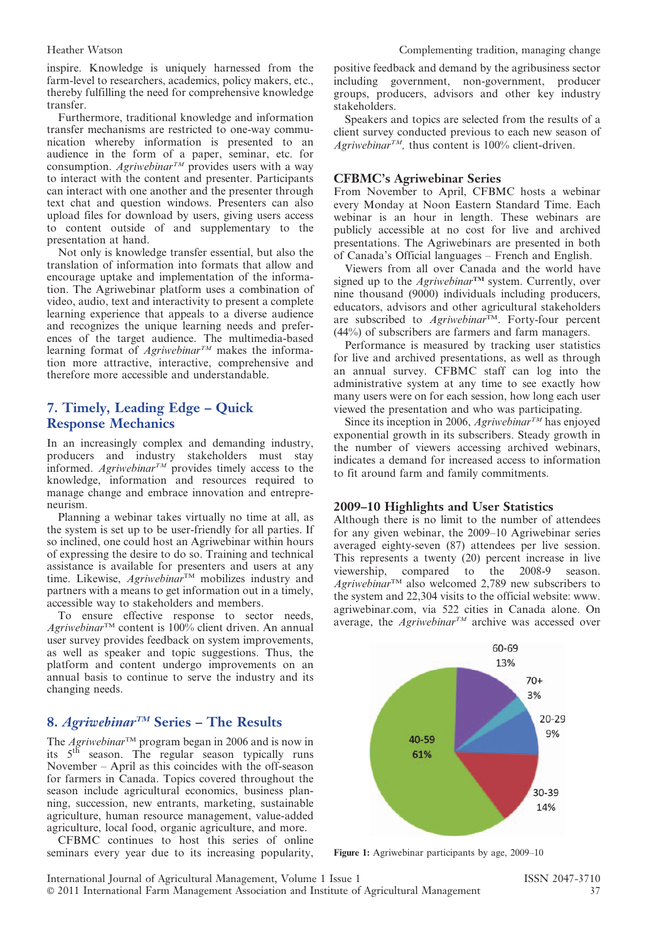inspire. Knowledge is uniquely harnessed from the farm-level to researchers, academics, policy makers, etc., thereby fulfilling the need for comprehensive knowledge transfer.

Furthermore, traditional knowledge and information transfer mechanisms are restricted to one-way communication whereby information is presented to an audience in the form of a paper, seminar, etc. for consumption. Agriwebinar<sup>TM</sup> provides users with a way to interact with the content and presenter. Participants can interact with one another and the presenter through text chat and question windows. Presenters can also upload files for download by users, giving users access to content outside of and supplementary to the presentation at hand.

Not only is knowledge transfer essential, but also the translation of information into formats that allow and encourage uptake and implementation of the information. The Agriwebinar platform uses a combination of video, audio, text and interactivity to present a complete learning experience that appeals to a diverse audience and recognizes the unique learning needs and preferences of the target audience. The multimedia-based learning format of *Agriwebinar<sup>TM</sup>* makes the information more attractive, interactive, comprehensive and therefore more accessible and understandable.

# 7. Timely, Leading Edge – Quick Response Mechanics

In an increasingly complex and demanding industry, producers and industry stakeholders must stay informed. Agriwebinar<sup>TM</sup> provides timely access to the knowledge, information and resources required to manage change and embrace innovation and entrepreneurism.

Planning a webinar takes virtually no time at all, as the system is set up to be user-friendly for all parties. If so inclined, one could host an Agriwebinar within hours of expressing the desire to do so. Training and technical assistance is available for presenters and users at any time. Likewise,  $A$ griwebinar<sup>TM</sup> mobilizes industry and partners with a means to get information out in a timely, accessible way to stakeholders and members.

To ensure effective response to sector needs,  $A$ griwebinar<sup>TM</sup> content is 100% client driven. An annual user survey provides feedback on system improvements, as well as speaker and topic suggestions. Thus, the platform and content undergo improvements on an annual basis to continue to serve the industry and its changing needs.

#### 8. Agriwebinar<sup>TM</sup> Series – The Results

The *Agriwebinar*<sup>TM</sup> program began in 2006 and is now in its 5th season. The regular season typically runs November – April as this coincides with the off-season for farmers in Canada. Topics covered throughout the season include agricultural economics, business planning, succession, new entrants, marketing, sustainable agriculture, human resource management, value-added agriculture, local food, organic agriculture, and more.

CFBMC continues to host this series of online seminars every year due to its increasing popularity, positive feedback and demand by the agribusiness sector including government, non-government, producer groups, producers, advisors and other key industry stakeholders.

Speakers and topics are selected from the results of a client survey conducted previous to each new season of Agriwebinar<sup>TM</sup>, thus content is 100% client-driven.

#### CFBMC's Agriwebinar Series

From November to April, CFBMC hosts a webinar every Monday at Noon Eastern Standard Time. Each webinar is an hour in length. These webinars are publicly accessible at no cost for live and archived presentations. The Agriwebinars are presented in both of Canada's Official languages – French and English.

Viewers from all over Canada and the world have signed up to the Agriwebinar<sup>TM</sup> system. Currently, over nine thousand (9000) individuals including producers, educators, advisors and other agricultural stakeholders are subscribed to  $Agriwebinar^{\text{TM}}$ . Forty-four percent (44%) of subscribers are farmers and farm managers.

Performance is measured by tracking user statistics for live and archived presentations, as well as through an annual survey. CFBMC staff can log into the administrative system at any time to see exactly how many users were on for each session, how long each user viewed the presentation and who was participating.

Since its inception in 2006, Agriwebinar<sup>TM</sup> has enjoyed exponential growth in its subscribers. Steady growth in the number of viewers accessing archived webinars, indicates a demand for increased access to information to fit around farm and family commitments.

#### 2009–10 Highlights and User Statistics

Although there is no limit to the number of attendees for any given webinar, the 2009–10 Agriwebinar series averaged eighty-seven (87) attendees per live session. This represents a twenty (20) percent increase in live viewership, compared to the 2008-9 season.  $A$ griwebinar<sup>TM</sup> also welcomed 2,789 new subscribers to the system and 22,304 visits to the official website: www. agriwebinar.com, via 522 cities in Canada alone. On average, the Agriwebinar<sup>TM</sup> archive was accessed over



Figure 1: Agriwebinar participants by age, 2009–10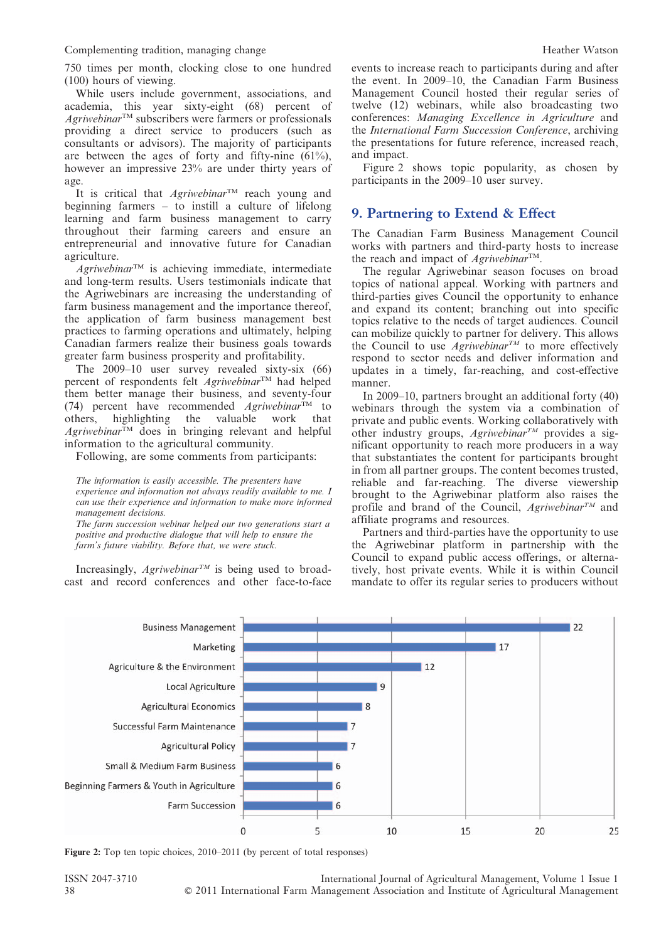Complementing tradition, managing change  $\blacksquare$ 

750 times per month, clocking close to one hundred (100) hours of viewing.

While users include government, associations, and academia, this year sixty-eight (68) percent of Agriwebinar<sup>™</sup> subscribers were farmers or professionals providing a direct service to producers (such as consultants or advisors). The majority of participants are between the ages of forty and fifty-nine (61%), however an impressive 23% are under thirty years of age.

It is critical that  $Agriwebinar^{TM}$  reach young and beginning farmers – to instill a culture of lifelong learning and farm business management to carry throughout their farming careers and ensure an entrepreneurial and innovative future for Canadian agriculture.

 $A$ griwebinar<sup>TM</sup> is achieving immediate, intermediate and long-term results. Users testimonials indicate that the Agriwebinars are increasing the understanding of farm business management and the importance thereof, the application of farm business management best practices to farming operations and ultimately, helping Canadian farmers realize their business goals towards greater farm business prosperity and profitability.

The 2009–10 user survey revealed sixty-six (66) percent of respondents felt  $A$ griwebinar<sup>TM</sup> had helped them better manage their business, and seventy-four (74) percent have recommended  $Agriwebinar^{\text{TM}}$  to others, highlighting the valuable work that  $A$ griwebinar<sup>TM</sup> does in bringing relevant and helpful information to the agricultural community.

Following, are some comments from participants:

The information is easily accessible. The presenters have experience and information not always readily available to me. I can use their experience and information to make more informed management decisions.

The farm succession webinar helped our two generations start a positive and productive dialogue that will help to ensure the farm's future viability. Before that, we were stuck.

Increasingly, Agriwebinar<sup>TM</sup> is being used to broadcast and record conferences and other face-to-face events to increase reach to participants during and after the event. In 2009–10, the Canadian Farm Business Management Council hosted their regular series of twelve (12) webinars, while also broadcasting two conferences: Managing Excellence in Agriculture and the International Farm Succession Conference, archiving the presentations for future reference, increased reach, and impact.

Figure 2 shows topic popularity, as chosen by participants in the 2009–10 user survey.

# 9. Partnering to Extend & Effect

The Canadian Farm Business Management Council works with partners and third-party hosts to increase the reach and impact of  $Agriwebinar^{TM}$ .

The regular Agriwebinar season focuses on broad topics of national appeal. Working with partners and third-parties gives Council the opportunity to enhance and expand its content; branching out into specific topics relative to the needs of target audiences. Council can mobilize quickly to partner for delivery. This allows the Council to use  $Agriwebinar^{TM}$  to more effectively respond to sector needs and deliver information and updates in a timely, far-reaching, and cost-effective manner.

In 2009–10, partners brought an additional forty (40) webinars through the system via a combination of private and public events. Working collaboratively with other industry groups,  $Agriwebinar^{TM}$  provides a significant opportunity to reach more producers in a way that substantiates the content for participants brought in from all partner groups. The content becomes trusted, reliable and far-reaching. The diverse viewership brought to the Agriwebinar platform also raises the profile and brand of the Council,  $A$ griwebinar<sup>TM</sup> and affiliate programs and resources.

Partners and third-parties have the opportunity to use the Agriwebinar platform in partnership with the Council to expand public access offerings, or alternatively, host private events. While it is within Council mandate to offer its regular series to producers without



Figure 2: Top ten topic choices, 2010–2011 (by percent of total responses)

ISSN 2047-3710 International Journal of Agricultural Management, Volume 1 Issue 1 38 ' 2011 International Farm Management Association and Institute of Agricultural Management